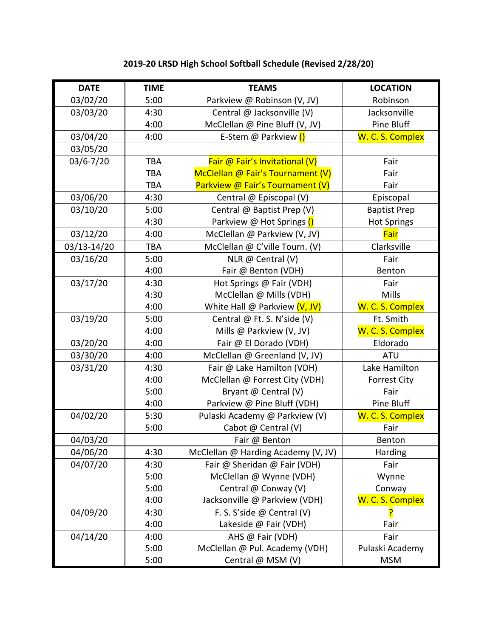## **2019-20 LRSD High School Softball Schedule (Revised 2/28/20)**

| <b>DATE</b>   | <b>TIME</b> | <b>TEAMS</b>                        | <b>LOCATION</b>     |
|---------------|-------------|-------------------------------------|---------------------|
| 03/02/20      | 5:00        | Parkview @ Robinson (V, JV)         | Robinson            |
| 03/03/20      | 4:30        | Central @ Jacksonville (V)          | Jacksonville        |
|               | 4:00        | McClellan @ Pine Bluff (V, JV)      | Pine Bluff          |
| 03/04/20      | 4:00        | E-Stem @ Parkview ()                | W. C. S. Complex    |
| 03/05/20      |             |                                     |                     |
| $03/6 - 7/20$ | <b>TBA</b>  | Fair @ Fair's Invitational (V)      | Fair                |
|               | <b>TBA</b>  | McClellan @ Fair's Tournament (V)   | Fair                |
|               | <b>TBA</b>  | Parkview @ Fair's Tournament (V)    | Fair                |
| 03/06/20      | 4:30        | Central @ Episcopal (V)             | Episcopal           |
| 03/10/20      | 5:00        | Central @ Baptist Prep (V)          | <b>Baptist Prep</b> |
|               | 4:30        | Parkview @ Hot Springs ()           | <b>Hot Springs</b>  |
| 03/12/20      | 4:00        | McClellan @ Parkview (V, JV)        | Fair                |
| 03/13-14/20   | <b>TBA</b>  | McClellan @ C'ville Tourn. (V)      | Clarksville         |
| 03/16/20      | 5:00        | NLR @ Central (V)                   | Fair                |
|               | 4:00        | Fair @ Benton (VDH)                 | Benton              |
| 03/17/20      | 4:30        | Hot Springs @ Fair (VDH)            | Fair                |
|               | 4:30        | McClellan @ Mills (VDH)             | Mills               |
|               | 4:00        | White Hall @ Parkview (V, JV)       | W. C. S. Complex    |
| 03/19/20      | 5:00        | Central @ Ft. S. N'side (V)         | Ft. Smith           |
|               | 4:00        | Mills @ Parkview (V, JV)            | W. C. S. Complex    |
| 03/20/20      | 4:00        | Fair @ El Dorado (VDH)              | Eldorado            |
| 03/30/20      | 4:00        | McClellan @ Greenland (V, JV)       | <b>ATU</b>          |
| 03/31/20      | 4:30        | Fair @ Lake Hamilton (VDH)          | Lake Hamilton       |
|               | 4:00        | McClellan @ Forrest City (VDH)      | <b>Forrest City</b> |
|               | 5:00        | Bryant @ Central (V)                | Fair                |
|               | 4:00        | Parkview @ Pine Bluff (VDH)         | Pine Bluff          |
| 04/02/20      | 5:30        | Pulaski Academy @ Parkview (V)      | W. C. S. Complex    |
|               | 5:00        | Cabot @ Central (V)                 | Fair                |
| 04/03/20      |             | Fair @ Benton                       | Benton              |
| 04/06/20      | 4:30        | McClellan @ Harding Academy (V, JV) | Harding             |
| 04/07/20      | 4:30        | Fair @ Sheridan @ Fair (VDH)        | Fair                |
|               | 5:00        | McClellan @ Wynne (VDH)             | Wynne               |
|               | 5:00        | Central @ Conway (V)                | Conway              |
|               | 4:00        | Jacksonville @ Parkview (VDH)       | W. C. S. Complex    |
| 04/09/20      | 4:30        | F. S. S'side @ Central (V)          |                     |
|               | 4:00        | Lakeside @ Fair (VDH)               | Fair                |
| 04/14/20      | 4:00        | AHS @ Fair (VDH)                    | Fair                |
|               | 5:00        | McClellan @ Pul. Academy (VDH)      | Pulaski Academy     |
|               | 5:00        | Central @ MSM (V)                   | <b>MSM</b>          |